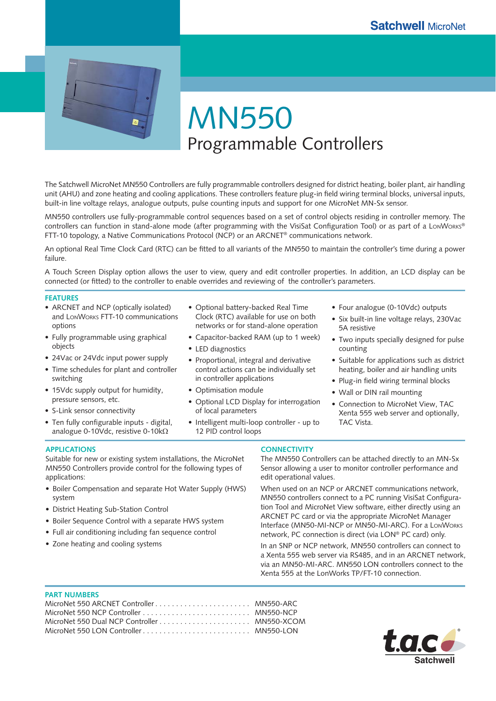

MN550 Programmable Controllers

The Satchwell MicroNet MN550 Controllers are fully programmable controllers designed for district heating, boiler plant, air handling unit (AHU) and zone heating and cooling applications. These controllers feature plug-in field wiring terminal blocks, universal inputs, built-in line voltage relays, analogue outputs, pulse counting inputs and support for one MicroNet MN-Sx sensor.

MN550 controllers use fully-programmable control sequences based on a set of control objects residing in controller memory. The controllers can function in stand-alone mode (after programming with the VisiSat Configuration Tool) or as part of a LonWorks® FTT-10 topology, a Native Communications Protocol (NCP) or an ARCNET® communications network.

An optional Real Time Clock Card (RTC) can be fitted to all variants of the MN550 to maintain the controller's time during a power failure.

A Touch Screen Display option allows the user to view, query and edit controller properties. In addition, an LCD display can be connected (or fitted) to the controller to enable overrides and reviewing of the controller's parameters.

### **FEATURES**

- ARCNET and NCP (optically isolated) and LONWORKS FTT-10 communications options
- Fully programmable using graphical objects
- 24Vac or 24Vdc input power supply •
- Time schedules for plant and controller switching
- 15Vdc supply output for humidity, pressure sensors, etc.
- S-Link sensor connectivity
- Ten fully configurable inputs digital, analogue 0-10Vdc, resistive 0-10kΩ
- Optional battery-backed Real Time Clock (RTC) available for use on both networks or for stand-alone operation
- Capacitor-backed RAM (up to 1 week) •
- LED diagnostics
- Proportional, integral and derivative control actions can be individually set in controller applications
- Optimisation module
- Optional LCD Display for interrogation of local parameters
- Intelligent multi-loop controller up to 12 PID control loops
- Four analogue (0-10Vdc) outputs
- Six built-in line voltage relays, 230Vac 5A resistive
- Two inputs specially designed for pulse counting
- Suitable for applications such as district heating, boiler and air handling units
- Plug-in field wiring terminal blocks
- Wall or DIN rail mounting
- Connection to MicroNet View, TAC Xenta 555 web server and optionally, TAC Vista.

### **APPLICATIONS**

Suitable for new or existing system installations, the MicroNet MN550 Controllers provide control for the following types of applications:

- Boiler Compensation and separate Hot Water Supply (HWS) system
- District Heating Sub-Station Control •
- Boiler Sequence Control with a separate HWS system
- Full air conditioning including fan sequence control •
- Zone heating and cooling systems •

## **CONNECTIVITY**

The MN550 Controllers can be attached directly to an MN-Sx Sensor allowing a user to monitor controller performance and edit operational values.

When used on an NCP or ARCNET communications network, MN550 controllers connect to a PC running VisiSat Configuration Tool and MicroNet View software, either directly using an ARCNET PC card or via the appropriate MicroNet Manager Interface (MN50-MI-NCP or MN50-MI-ARC). For a LONWORKS network, PC connection is direct (via LON® PC card) only.

In an SNP or NCP network, MN550 controllers can connect to a Xenta 555 web server via RS485, and in an ARCNET network, via an MN50-MI-ARC. MN550 LON controllers connect to the Xenta 555 at the LonWorks TP/FT-10 connection.

### **PART NUMBERS**

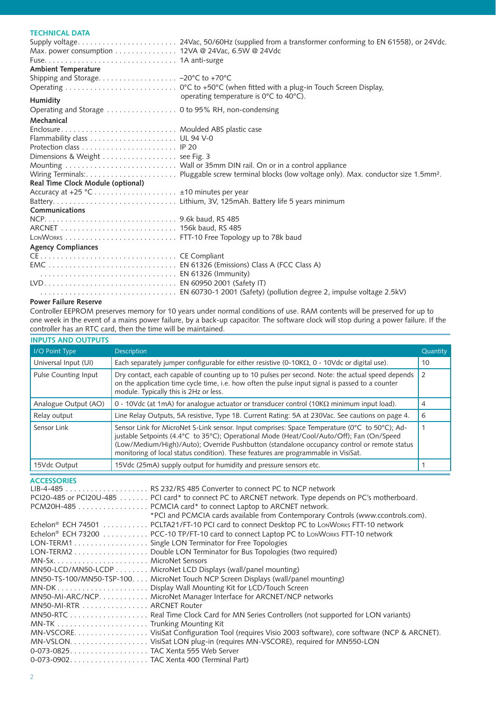# **TECHNICAL DATA**

| Max. power consumption 12VA @ 24Vac, 6.5W @ 24Vdc |                                                             |
|---------------------------------------------------|-------------------------------------------------------------|
|                                                   |                                                             |
| <b>Ambient Temperature</b>                        |                                                             |
|                                                   |                                                             |
|                                                   |                                                             |
| Humidity                                          | operating temperature is $0^{\circ}$ C to 40 $^{\circ}$ C). |
|                                                   |                                                             |
| Mechanical                                        |                                                             |
|                                                   |                                                             |
|                                                   |                                                             |
|                                                   |                                                             |
| Dimensions & Weight  see Fig. 3                   |                                                             |
|                                                   |                                                             |
|                                                   |                                                             |
| Real Time Clock Module (optional)                 |                                                             |
|                                                   |                                                             |
|                                                   |                                                             |
| <b>Communications</b>                             |                                                             |
|                                                   |                                                             |
|                                                   |                                                             |
|                                                   |                                                             |
| <b>Agency Compliances</b>                         |                                                             |
|                                                   |                                                             |
|                                                   |                                                             |
|                                                   |                                                             |
|                                                   |                                                             |
|                                                   |                                                             |
|                                                   |                                                             |

### **Power Failure Reserve**

Controller EEPROM preserves memory for 10 years under normal conditions of use. RAM contents will be preserved for up to one week in the event of a mains power failure, by a back-up capacitor. The software clock will stop during a power failure. If the controller has an RTC card, then the time will be maintained.

|  | <b>INPUTS AND OUTPUTS</b> |  |  |
|--|---------------------------|--|--|
|--|---------------------------|--|--|

| I/O Point Type       | <b>Description</b>                                                                                                                                                                                                                                                                                                                                                             | Quantity       |
|----------------------|--------------------------------------------------------------------------------------------------------------------------------------------------------------------------------------------------------------------------------------------------------------------------------------------------------------------------------------------------------------------------------|----------------|
| Universal Input (UI) | Each separately jumper configurable for either resistive (0-10K $\Omega$ , 0 - 10Vdc or digital use).                                                                                                                                                                                                                                                                          | 10             |
| Pulse Counting Input | Dry contact, each capable of counting up to 10 pulses per second. Note: the actual speed depends<br>on the application time cycle time, i.e. how often the pulse input signal is passed to a counter<br>module. Typically this is 2Hz or less.                                                                                                                                 | $\overline{2}$ |
| Analogue Output (AO) | 0 - 10Vdc (at 1mA) for analogue actuator or transducer control (10K $\Omega$ minimum input load).                                                                                                                                                                                                                                                                              | 4              |
| Relay output         | Line Relay Outputs, 5A resistive, Type 1B. Current Rating: 5A at 230Vac. See cautions on page 4.                                                                                                                                                                                                                                                                               | 6              |
| Sensor Link          | Sensor Link for MicroNet S-Link sensor. Input comprises: Space Temperature (0°C to 50°C); Ad-<br>justable Setpoints (4.4°C to 35°C); Operational Mode (Heat/Cool/Auto/Off); Fan (On/Speed<br>(Low/Medium/High)/Auto); Override Pushbutton (standalone occupancy control or remote status<br>monitoring of local status condition). These features are programmable in VisiSat. |                |
| 15Vdc Output         | 15Vdc (25mA) supply output for humidity and pressure sensors etc.                                                                                                                                                                                                                                                                                                              |                |

**ACCESSORIES**

|                                         | PCI20-485 or PCI20U-485 PCI card* to connect PC to ARCNET network. Type depends on PC's motherboard. |
|-----------------------------------------|------------------------------------------------------------------------------------------------------|
|                                         |                                                                                                      |
|                                         | *PCI and PCMCIA cards available from Contemporary Controls (www.ccontrols.com).                      |
|                                         | Echelon® ECH 74501 PCLTA21/FT-10 PCI card to connect Desktop PC to LonWorks FTT-10 network           |
|                                         | Echelon® ECH 73200 PCC-10 TP/FT-10 card to connect Laptop PC to LonWorks FTT-10 network              |
|                                         | LON-TERM1 Single LON Terminator for Free Topologies                                                  |
|                                         | LON-TERM2 Double LON Terminator for Bus Topologies (two required)                                    |
|                                         |                                                                                                      |
|                                         | MN50-LCD/MN50-LCDP MicroNet LCD Displays (wall/panel mounting)                                       |
|                                         | MN50-TS-100/MN50-TSP-100. MicroNet Touch NCP Screen Displays (wall/panel mounting)                   |
|                                         |                                                                                                      |
|                                         | MN50-MI-ARC/NCP. MicroNet Manager Interface for ARCNET/NCP networks                                  |
| MN50-MI-RTR ARCNET Router               |                                                                                                      |
|                                         |                                                                                                      |
|                                         |                                                                                                      |
|                                         | MN-VSCORE. VisiSat Configuration Tool (requires Visio 2003 software), core software (NCP & ARCNET).  |
|                                         |                                                                                                      |
|                                         |                                                                                                      |
| 0-073-0902TAC Xenta 400 (Terminal Part) |                                                                                                      |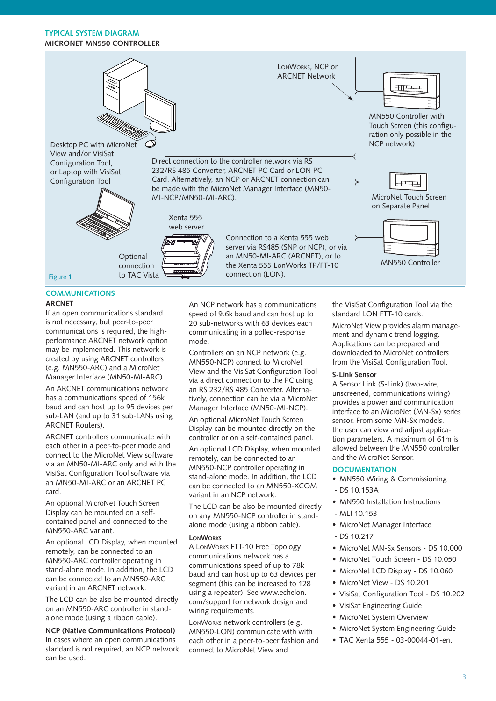## **TYPICAL SYSTEM DIAGRAM MICRONET MN550 CONTROLLER**



## **COMMUNICATIONS**

#### **ARCNET**

If an open communications standard is not necessary, but peer-to-peer communications is required, the highperformance ARCNET network option may be implemented. This network is created by using ARCNET controllers (e.g. MN550-ARC) and a MicroNet Manager Interface (MN50-MI-ARC).

An ARCNET communications network has a communications speed of 156k baud and can host up to 95 devices per sub-LAN (and up to 31 sub-LANs using ARCNET Routers).

ARCNET controllers communicate with each other in a peer-to-peer mode and connect to the MicroNet View software via an MN50-MI-ARC only and with the VisiSat Configuration Tool software via an MN50-MI-ARC or an ARCNET PC card.

An optional MicroNet Touch Screen Display can be mounted on a selfcontained panel and connected to the MN550-ARC variant.

An optional LCD Display, when mounted remotely, can be connected to an MN550-ARC controller operating in stand-alone mode. In addition, the LCD can be connected to an MN550-ARC variant in an ARCNET network.

The LCD can be also be mounted directly on an MN550-ARC controller in standalone mode (using a ribbon cable).

**NCP (Native Communications Protocol)** In cases where an open communications standard is not required, an NCP network can be used.

An NCP network has a communications speed of 9.6k baud and can host up to 20 sub-networks with 63 devices each communicating in a polled-response mode.

Controllers on an NCP network (e.g. MN550-NCP) connect to MicroNet View and the VisiSat Configuration Tool via a direct connection to the PC using an RS 232/RS 485 Converter. Alternatively, connection can be via a MicroNet Manager Interface (MN50-MI-NCP).

An optional MicroNet Touch Screen Display can be mounted directly on the controller or on a self-contained panel.

An optional LCD Display, when mounted remotely, can be connected to an MN550-NCP controller operating in stand-alone mode. In addition, the LCD can be connected to an MN550-XCOM variant in an NCP network.

The LCD can be also be mounted directly on any MN550-NCP controller in standalone mode (using a ribbon cable).

### **LONWORKS**

A LONWORKS FTT-10 Free Topology communications network has a communications speed of up to 78k baud and can host up to 63 devices per segment (this can be increased to 128 using a repeater). See www.echelon. com/support for network design and wiring requirements.

LONWORKS network controllers (e.g. MN550-LON) communicate with with each other in a peer-to-peer fashion and connect to MicroNet View and

the VisiSat Configuration Tool via the standard LON FTT-10 cards.

MicroNet View provides alarm management and dynamic trend logging. Applications can be prepared and downloaded to MicroNet controllers from the VisiSat Configuration Tool.

## **S-Link Sensor**

A Sensor Link (S-Link) (two-wire, unscreened, communications wiring) provides a power and communication interface to an MicroNet (MN-Sx) series sensor. From some MN-Sx models, the user can view and adjust application parameters. A maximum of 61m is allowed between the MN550 controller and the MicroNet Sensor.

### **DOCUMENTATION**

- MN550 Wiring & Commissioning
- DS 10.153A
- MN550 Installation Instructions
- MLI 10.153
- MicroNet Manager Interface •
- $-$  DS 10.217
- MicroNet MN-Sx Sensors DS 10.000
- MicroNet Touch Screen DS 10.050
	- MicroNet LCD Display DS 10.060
- MicroNet View DS 10.201
- VisiSat Configuration Tool DS 10.202
- VisiSat Engineering Guide
- MicroNet System Overview
- MicroNet System Engineering Guide
- TAC Xenta 555 03-00044-01-en. •